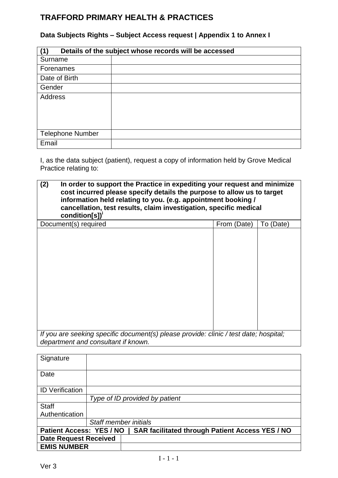## **TRAFFORD PRIMARY HEALTH & PRACTICES**

## **Data Subjects Rights – Subject Access request | Appendix 1 to Annex I**

| Details of the subject whose records will be accessed |  |  |  |  |
|-------------------------------------------------------|--|--|--|--|
| Surname                                               |  |  |  |  |
| Forenames                                             |  |  |  |  |
| Date of Birth                                         |  |  |  |  |
| Gender                                                |  |  |  |  |
| Address                                               |  |  |  |  |
| <b>Telephone Number</b>                               |  |  |  |  |
| Email                                                 |  |  |  |  |

I, as the data subject (patient), request a copy of information held by Grove Medical Practice relating to:

| (2)<br>In order to support the Practice in expediting your request and minimize<br>cost incurred please specify details the purpose to allow us to target<br>information held relating to you. (e.g. appointment booking /<br>cancellation, test results, claim investigation, specific medical<br>condition[s])' |             |           |  |  |  |
|-------------------------------------------------------------------------------------------------------------------------------------------------------------------------------------------------------------------------------------------------------------------------------------------------------------------|-------------|-----------|--|--|--|
| Document(s) required                                                                                                                                                                                                                                                                                              | From (Date) | To (Date) |  |  |  |
|                                                                                                                                                                                                                                                                                                                   |             |           |  |  |  |
| If you are seeking specific document(s) please provide: clinic / test date; hospital;<br>department and consultant if known.                                                                                                                                                                                      |             |           |  |  |  |

| Signature                                                                                 |                       |                                |  |
|-------------------------------------------------------------------------------------------|-----------------------|--------------------------------|--|
| Date                                                                                      |                       |                                |  |
| <b>ID Verification</b>                                                                    |                       |                                |  |
|                                                                                           |                       | Type of ID provided by patient |  |
| <b>Staff</b>                                                                              |                       |                                |  |
| Authentication                                                                            |                       |                                |  |
|                                                                                           | Staff member initials |                                |  |
| <b>SAR facilitated through Patient Access YES / NO</b><br><b>Patient Access: YES / NO</b> |                       |                                |  |
| <b>Date Request Received</b>                                                              |                       |                                |  |
| <b>EMIS NUMBER</b>                                                                        |                       |                                |  |